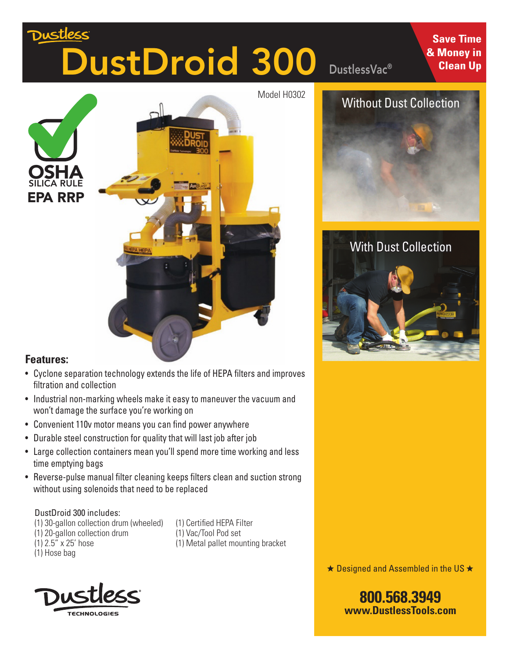# <u>Dustless</u> DustDroid 300

DustlessVac®

**Save Time & Money in Clean Up**





#### **Features:**

- Cyclone separation technology extends the life of HEPA filters and improves filtration and collection
- Industrial non-marking wheels make it easy to maneuver the vacuum and won't damage the surface you're working on
- Convenient 110v motor means you can find power anywhere
- Durable steel construction for quality that will last job after job
- Large collection containers mean you'll spend more time working and less time emptying bags
- Reverse-pulse manual filter cleaning keeps filters clean and suction strong without using solenoids that need to be replaced

#### DustDroid 300 includes:

- (1) 30-gallon collection drum (wheeled)
- (1) 20-gallon collection drum
- (1) 2.5" x 25' hose
- (1) Hose bag

(1) Certified HEPA Filter (1) Vac/Tool Pod set (1) Metal pallet mounting bracket





**800.568.3949**

**www.DustlessTools.com**

### Without Dust Collection



## With Dust Collection